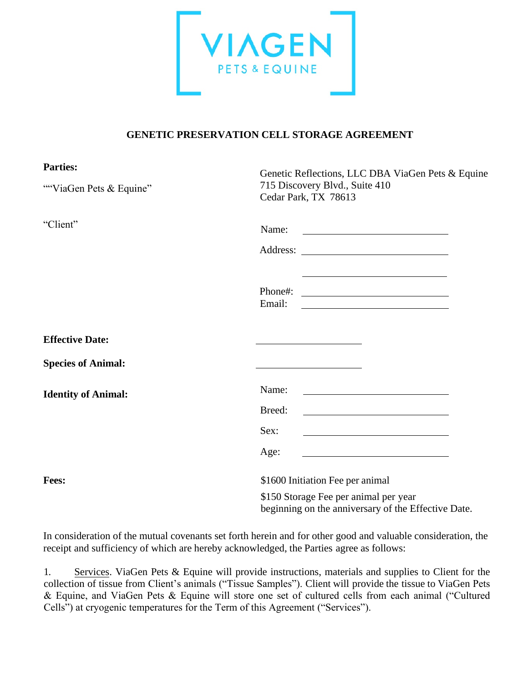

## **GENETIC PRESERVATION CELL STORAGE AGREEMENT**

| <b>Parties:</b>            | Genetic Reflections, LLC DBA ViaGen Pets & Equine                                                                                                                                                                                                        |
|----------------------------|----------------------------------------------------------------------------------------------------------------------------------------------------------------------------------------------------------------------------------------------------------|
| ""ViaGen Pets & Equine"    | 715 Discovery Blvd., Suite 410<br>Cedar Park, TX 78613                                                                                                                                                                                                   |
| "Client"                   | Name:                                                                                                                                                                                                                                                    |
|                            |                                                                                                                                                                                                                                                          |
|                            | <u> 1989 - Johann Harry Harry Harry Harry Harry Harry Harry Harry Harry Harry Harry Harry Harry Harry Harry Harry</u><br>Email:<br><u> 1989 - Johann Stein, mars and de Branch and de Branch and de Branch and de Branch and de Branch and de Branch</u> |
| <b>Effective Date:</b>     | the control of the control of the control of the control of the control of                                                                                                                                                                               |
| <b>Species of Animal:</b>  | the control of the control of the control of the control of                                                                                                                                                                                              |
| <b>Identity of Animal:</b> | Name:                                                                                                                                                                                                                                                    |
|                            | Breed:                                                                                                                                                                                                                                                   |
|                            | Sex:<br><u> 1989 - Johann Barbara, martin amerikan basar dan ba</u>                                                                                                                                                                                      |
|                            | Age:<br><u> 1989 - Johann Barn, amerikansk politiker (</u>                                                                                                                                                                                               |
| <b>Fees:</b>               | \$1600 Initiation Fee per animal                                                                                                                                                                                                                         |
|                            | \$150 Storage Fee per animal per year<br>beginning on the anniversary of the Effective Date.                                                                                                                                                             |

In consideration of the mutual covenants set forth herein and for other good and valuable consideration, the receipt and sufficiency of which are hereby acknowledged, the Parties agree as follows:

1. Services. ViaGen Pets & Equine will provide instructions, materials and supplies to Client for the collection of tissue from Client's animals ("Tissue Samples"). Client will provide the tissue to ViaGen Pets & Equine, and ViaGen Pets & Equine will store one set of cultured cells from each animal ("Cultured Cells") at cryogenic temperatures for the Term of this Agreement ("Services").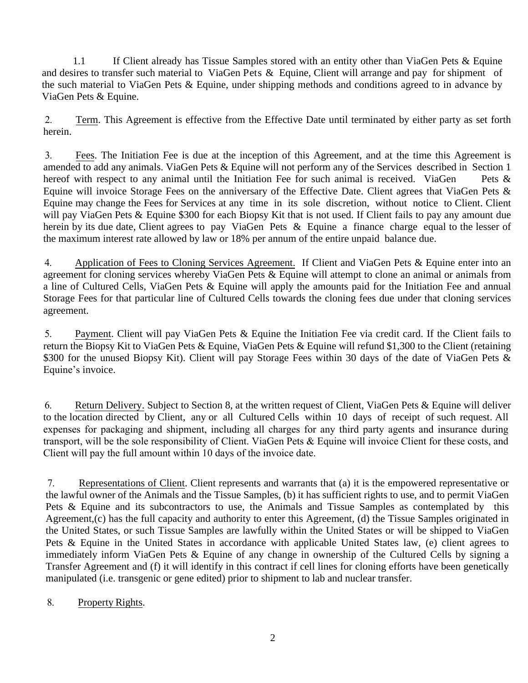1.1 If Client already has Tissue Samples stored with an entity other than ViaGen Pets & Equine and desires to transfer such material to ViaGen Pets & Equine, Client will arrange and pay for shipment of the such material to ViaGen Pets & Equine, under shipping methods and conditions agreed to in advance by ViaGen Pets & Equine.

2. Term. This Agreement is effective from the Effective Date until terminated by either party as set forth herein.

3. Fees. The Initiation Fee is due at the inception of this Agreement, and at the time this Agreement is amended to add any animals. ViaGen Pets & Equine will not perform any of the Services described in Section 1 hereof with respect to any animal until the Initiation Fee for such animal is received. ViaGen Pets  $\&$ Equine will invoice Storage Fees on the anniversary of the Effective Date. Client agrees that ViaGen Pets & Equine may change the Fees for Services at any time in its sole discretion, without notice to Client. Client will pay ViaGen Pets & Equine \$300 for each Biopsy Kit that is not used. If Client fails to pay any amount due herein by its due date, Client agrees to pay ViaGen Pets & Equine a finance charge equal to the lesser of the maximum interest rate allowed by law or 18% per annum of the entire unpaid balance due.

4. Application of Fees to Cloning Services Agreement. If Client and ViaGen Pets & Equine enter into an agreement for cloning services whereby ViaGen Pets & Equine will attempt to clone an animal or animals from a line of Cultured Cells, ViaGen Pets & Equine will apply the amounts paid for the Initiation Fee and annual Storage Fees for that particular line of Cultured Cells towards the cloning fees due under that cloning services agreement.

5. Payment. Client will pay ViaGen Pets & Equine the Initiation Fee via credit card. If the Client fails to return the Biopsy Kit to ViaGen Pets & Equine, ViaGen Pets & Equine will refund \$1,300 to the Client (retaining \$300 for the unused Biopsy Kit). Client will pay Storage Fees within 30 days of the date of ViaGen Pets & Equine's invoice.

6. Return Delivery. Subject to Section 8, at the written request of Client, ViaGen Pets & Equine will deliver to the location directed by Client, any or all Cultured Cells within 10 days of receipt of such request. All expenses for packaging and shipment, including all charges for any third party agents and insurance during transport, will be the sole responsibility of Client. ViaGen Pets & Equine will invoice Client for these costs, and Client will pay the full amount within 10 days of the invoice date.

7. Representations of Client. Client represents and warrants that (a) it is the empowered representative or the lawful owner of the Animals and the Tissue Samples, (b) it has sufficient rights to use, and to permit ViaGen Pets & Equine and its subcontractors to use, the Animals and Tissue Samples as contemplated by this Agreement,(c) has the full capacity and authority to enter this Agreement, (d) the Tissue Samples originated in the United States, or such Tissue Samples are lawfully within the United States or will be shipped to ViaGen Pets & Equine in the United States in accordance with applicable United States law, (e) client agrees to immediately inform ViaGen Pets & Equine of any change in ownership of the Cultured Cells by signing a Transfer Agreement and (f) it will identify in this contract if cell lines for cloning efforts have been genetically manipulated (i.e. transgenic or gene edited) prior to shipment to lab and nuclear transfer.

8. Property Rights.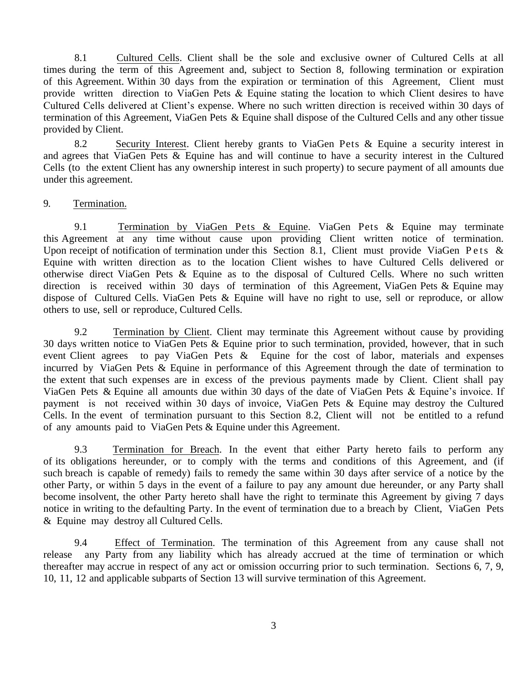8.1 Cultured Cells. Client shall be the sole and exclusive owner of Cultured Cells at all times during the term of this Agreement and, subject to Section 8, following termination or expiration of this Agreement. Within 30 days from the expiration or termination of this Agreement, Client must provide written direction to ViaGen Pets & Equine stating the location to which Client desires to have Cultured Cells delivered at Client's expense. Where no such written direction is received within 30 days of termination of this Agreement, ViaGen Pets & Equine shall dispose of the Cultured Cells and any other tissue provided by Client.

8.2 Security Interest. Client hereby grants to ViaGen Pets & Equine a security interest in and agrees that ViaGen Pets & Equine has and will continue to have a security interest in the Cultured Cells (to the extent Client has any ownership interest in such property) to secure payment of all amounts due under this agreement.

## 9. Termination.

9.1 Termination by ViaGen Pets & Equine. ViaGen Pets & Equine may terminate this Agreement at any time without cause upon providing Client written notice of termination. Upon receipt of notification of termination under this Section 8.1, Client must provide ViaGen Pets & Equine with written direction as to the location Client wishes to have Cultured Cells delivered or otherwise direct ViaGen Pets & Equine as to the disposal of Cultured Cells. Where no such written direction is received within 30 days of termination of this Agreement, ViaGen Pets & Equine may dispose of Cultured Cells. ViaGen Pets & Equine will have no right to use, sell or reproduce, or allow others to use, sell or reproduce, Cultured Cells.

9.2 Termination by Client. Client may terminate this Agreement without cause by providing 30 days written notice to ViaGen Pets & Equine prior to such termination, provided, however, that in such event Client agrees to pay ViaGen Pets & Equine for the cost of labor, materials and expenses incurred by ViaGen Pets & Equine in performance of this Agreement through the date of termination to the extent that such expenses are in excess of the previous payments made by Client. Client shall pay ViaGen Pets & Equine all amounts due within 30 days of the date of ViaGen Pets & Equine's invoice. If payment is not received within 30 days of invoice, ViaGen Pets & Equine may destroy the Cultured Cells. In the event of termination pursuant to this Section 8.2, Client will not be entitled to a refund of any amounts paid to ViaGen Pets & Equine under this Agreement.

9.3 Termination for Breach. In the event that either Party hereto fails to perform any of its obligations hereunder, or to comply with the terms and conditions of this Agreement, and (if such breach is capable of remedy) fails to remedy the same within 30 days after service of a notice by the other Party, or within 5 days in the event of a failure to pay any amount due hereunder, or any Party shall become insolvent, the other Party hereto shall have the right to terminate this Agreement by giving 7 days notice in writing to the defaulting Party. In the event of termination due to a breach by Client, ViaGen Pets & Equine may destroy all Cultured Cells.

9.4 Effect of Termination. The termination of this Agreement from any cause shall not release any Party from any liability which has already accrued at the time of termination or which thereafter may accrue in respect of any act or omission occurring prior to such termination. Sections 6, 7, 9, 10, 11, 12 and applicable subparts of Section 13 will survive termination of this Agreement.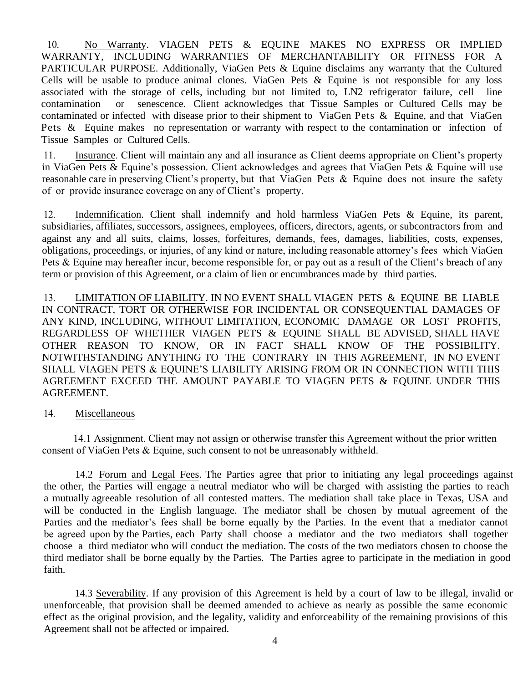10. No Warranty. VIAGEN PETS & EQUINE MAKES NO EXPRESS OR IMPLIED WARRANTY, INCLUDING WARRANTIES OF MERCHANTABILITY OR FITNESS FOR A PARTICULAR PURPOSE. Additionally, ViaGen Pets & Equine disclaims any warranty that the Cultured Cells will be usable to produce animal clones. ViaGen Pets & Equine is not responsible for any loss associated with the storage of cells, including but not limited to, LN2 refrigerator failure, cell line contamination or senescence. Client acknowledges that Tissue Samples or Cultured Cells may be contaminated or infected with disease prior to their shipment to ViaGen Pets & Equine, and that ViaGen Pets & Equine makes no representation or warranty with respect to the contamination or infection of Tissue Samples or Cultured Cells.

11. Insurance. Client will maintain any and all insurance as Client deems appropriate on Client's property in ViaGen Pets & Equine's possession. Client acknowledges and agrees that ViaGen Pets & Equine will use reasonable care in preserving Client's property, but that ViaGen Pets & Equine does not insure the safety of or provide insurance coverage on any of Client's property.

12. Indemnification. Client shall indemnify and hold harmless ViaGen Pets & Equine, its parent, subsidiaries, affiliates, successors, assignees, employees, officers, directors, agents, or subcontractors from and against any and all suits, claims, losses, forfeitures, demands, fees, damages, liabilities, costs, expenses, obligations, proceedings, or injuries, of any kind or nature, including reasonable attorney's fees which ViaGen Pets & Equine may hereafter incur, become responsible for, or pay out as a result of the Client's breach of any term or provision of this Agreement, or a claim of lien or encumbrances made by third parties.

13. LIMITATION OF LIABILITY. IN NO EVENT SHALL VIAGEN PETS & EQUINE BE LIABLE IN CONTRACT, TORT OR OTHERWISE FOR INCIDENTAL OR CONSEQUENTIAL DAMAGES OF ANY KIND, INCLUDING, WITHOUT LIMITATION, ECONOMIC DAMAGE OR LOST PROFITS, REGARDLESS OF WHETHER VIAGEN PETS & EQUINE SHALL BE ADVISED, SHALL HAVE OTHER REASON TO KNOW, OR IN FACT SHALL KNOW OF THE POSSIBILITY. NOTWITHSTANDING ANYTHING TO THE CONTRARY IN THIS AGREEMENT, IN NO EVENT SHALL VIAGEN PETS & EQUINE'S LIABILITY ARISING FROM OR IN CONNECTION WITH THIS AGREEMENT EXCEED THE AMOUNT PAYABLE TO VIAGEN PETS & EQUINE UNDER THIS AGREEMENT.

## 14. Miscellaneous

14.1 Assignment. Client may not assign or otherwise transfer this Agreement without the prior written consent of ViaGen Pets & Equine, such consent to not be unreasonably withheld.

14.2 Forum and Legal Fees. The Parties agree that prior to initiating any legal proceedings against the other, the Parties will engage a neutral mediator who will be charged with assisting the parties to reach a mutually agreeable resolution of all contested matters. The mediation shall take place in Texas, USA and will be conducted in the English language. The mediator shall be chosen by mutual agreement of the Parties and the mediator's fees shall be borne equally by the Parties. In the event that a mediator cannot be agreed upon by the Parties, each Party shall choose a mediator and the two mediators shall together choose a third mediator who will conduct the mediation. The costs of the two mediators chosen to choose the third mediator shall be borne equally by the Parties. The Parties agree to participate in the mediation in good faith.

14.3 Severability. If any provision of this Agreement is held by a court of law to be illegal, invalid or unenforceable, that provision shall be deemed amended to achieve as nearly as possible the same economic effect as the original provision, and the legality, validity and enforceability of the remaining provisions of this Agreement shall not be affected or impaired.